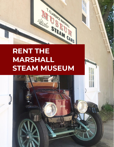

# **RENT THE MARSHALL STEAM MUSEUM**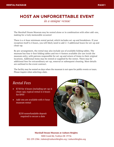## **HOST AN UNFORGETTABLE EVENT**

in a unique venue ׇ֧֬

The Marshall Steam Museum may be rented alone or in combination with other add-ons, making for a truly memorable occasion!

There is a 4-hour minimum rental period, which includes set-up and breakdown. If your reception itself is 4 hours, you will likely need to add 2–3 additional hours for set-up and clean-up.

By pre-arrangement, the rental may also include use of available folding tables. The museum has four 6-foot folding tables and two 4-footers available (for use *inside* the museum only), with patrons responsible for set-up and return of items to their original locations. Additional items may be rented or supplied by the renter. There may be additional fees for extraordinary set-up, removal or subsequent cleaning. More details are outlined in the event contract.

The facility may be rented on days when the museum is not open for public events or tours. Please inquire when selecting a date.

### *Rental Fees*

- \$750 for 4 hours (including set-up & clean-up); typical rental is 6 hours for \$950
- Add-ons are available with 4-hour museum rental

\$250 nonrefundable deposit required to secure a date



**Marshall Steam Museum at Auburn Heights** 3000 Creek Rd, Yorklyn DE 19736 302-239-2386 | Admin@AuburnHeights.org | AuburnHeights.org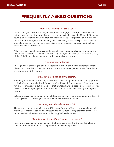## **FREQUENTLY ASKED QUESTIONS**

#### *Are there restrictions on decorations?*

Decorations (such as floral arrangements, table settings, or centerpieces) are welcome but may not be placed in or on display cases or artifacts. Because the Marshall Steam Museum is an older building with historic collections, we ask that patrons be mindful and respectful of the displays when making their decorating plans. The space has some areas where banners may be hung or images displayed on a screen, so please inquire about these options, if interested.

All decorations must be removed at the end of the event and picked up by 5 pm on the next business day (*note: the museum is not open/staffed on Sundays*). No confetti, rice, birdseed, balloons, flammable props, or live animals are permitted.

#### *Is photography allowed?*

Photography is encouraged, but all visitors must remain behind the stanchions to take photos. For an additional fee, patrons may add a photo-op experience; see the add-ons section for more information.

#### *May I serve food and/or hire a caterer?*

Food may be served in pre-arranged locations; however, open flames are strictly prohibited, including sternos, chafing dishes or candles. Electrified heating units (crock pots and hot plates) are allowed, but please note that multiple units (in particular, coffeepots) will overload circuits if plugged in at the same location. Staff can advise on optimum positioning.

Patrons are responsible for supplying all food and beverages or arranging for any desired catering services. No refrigeration or kitchen facilities are available.

#### *How many guests does the museum hold?*

The museum can accommodate up to 100 people for a standing reception and approximately 60 if seated at tables. The museum has four 6-foot folding tables and two 4-foot tables. Additional items must be rented or supplied by the renter.

#### *What happens if something is damaged or stolen?*

Renters are responsible for any damage that occurs as a result of the event, including damage to the building, fixtures, equipment and personal property.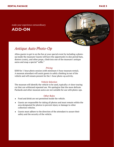*make your experience extraordinary*

**ADD-ON** 



## *Antique Auto Photo-Op*

Allow guests to get in on the fun at your special event by including a photoop inside the museum! Guests will have the opportunity to don period hats, dusters (coats), and other props, climb into one of the museum's antique autos and snap a special "selfie."

#### *Pricing*

\$500 for 1-hour photo session (with minimum 4-hour museum rental). A museum attendant will assist guests in safely climbing in/out of the vehicle and will remain present for the 1-hour photo-op activity.

#### *Vehicle Selection*

The museum will identify the vehicle to be used, typically a 4-door touring car that can withstand repeated use. We apologize that the more delicate Packards and other museum autos are not suitable for use with photo-ops.

#### *Other Rules*

- Food and drink are not permitted inside the vehicle.
- Guests are responsible for taking all photos and must remain within the area designated for photos to prevent injury or damage to other collection vehicles.
- Guests must adhere to the direction of the attendant to assure their safety and the security of the vehicle.